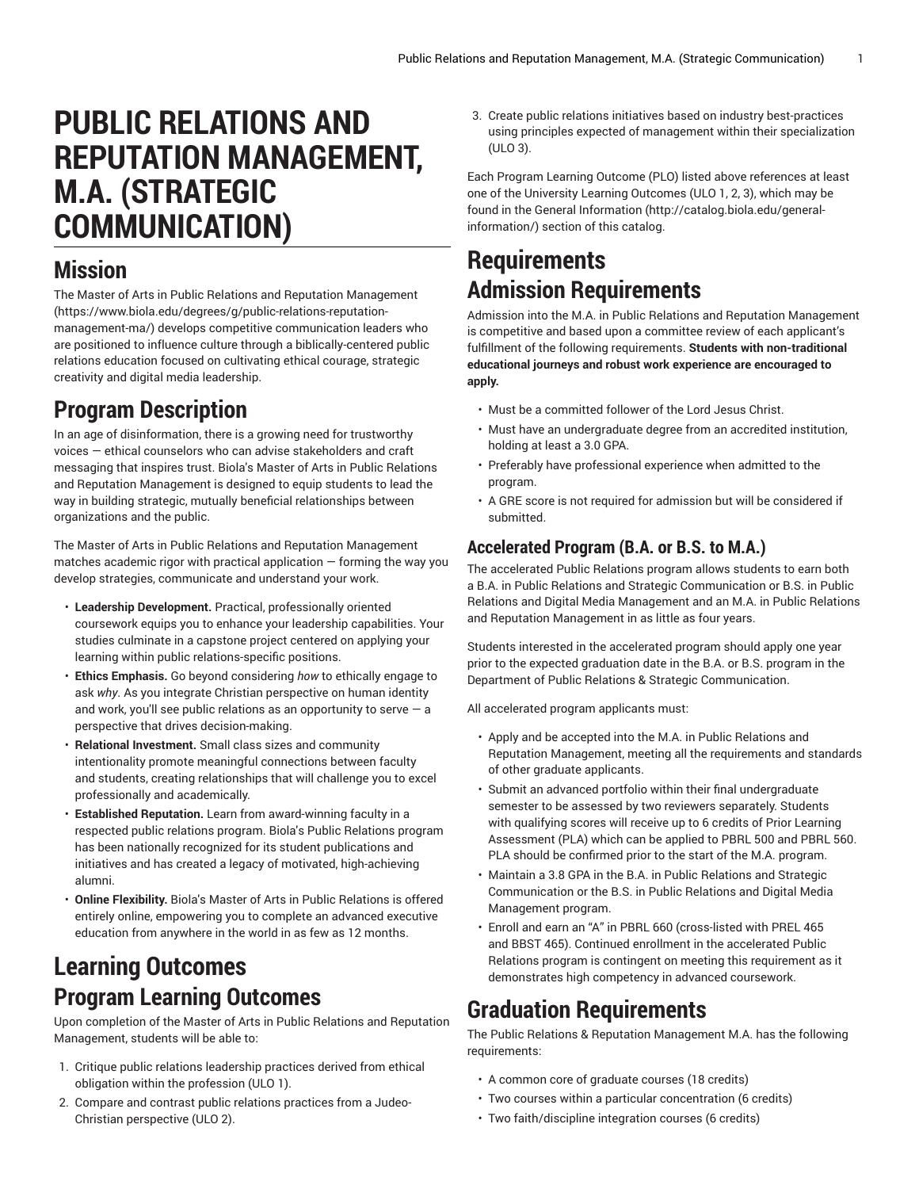# **PUBLIC RELATIONS AND REPUTATION MANAGEMENT, M.A. (STRATEGIC COMMUNICATION)**

#### **Mission**

The Master of Arts in Public Relations and Reputation [Management](https://www.biola.edu/degrees/g/public-relations-reputation-management-ma/) ([https://www.biola.edu/degrees/g/public-relations-reputation](https://www.biola.edu/degrees/g/public-relations-reputation-management-ma/)[management-ma/](https://www.biola.edu/degrees/g/public-relations-reputation-management-ma/)) develops competitive communication leaders who are positioned to influence culture through a biblically-centered public relations education focused on cultivating ethical courage, strategic creativity and digital media leadership.

## **Program Description**

In an age of disinformation, there is a growing need for trustworthy voices — ethical counselors who can advise stakeholders and craft messaging that inspires trust. Biola's Master of Arts in Public Relations and Reputation Management is designed to equip students to lead the way in building strategic, mutually beneficial relationships between organizations and the public.

The Master of Arts in Public Relations and Reputation Management matches academic rigor with practical application — forming the way you develop strategies, communicate and understand your work.

- **Leadership Development.** Practical, professionally oriented coursework equips you to enhance your leadership capabilities. Your studies culminate in a capstone project centered on applying your learning within public relations-specific positions.
- **Ethics Emphasis.** Go beyond considering *how* to ethically engage to ask *why*. As you integrate Christian perspective on human identity and work, you'll see public relations as an opportunity to serve  $-$  a perspective that drives decision-making.
- **Relational Investment.** Small class sizes and community intentionality promote meaningful connections between faculty and students, creating relationships that will challenge you to excel professionally and academically.
- **Established Reputation.** Learn from award-winning faculty in a respected public relations program. Biola's Public Relations program has been nationally recognized for its student publications and initiatives and has created a legacy of motivated, high-achieving alumni.
- **Online Flexibility.** Biola's Master of Arts in Public Relations is offered entirely online, empowering you to complete an advanced executive education from anywhere in the world in as few as 12 months.

#### **Learning Outcomes Program Learning Outcomes**

Upon completion of the Master of Arts in Public Relations and Reputation Management, students will be able to:

- 1. Critique public relations leadership practices derived from ethical obligation within the profession (ULO 1).
- 2. Compare and contrast public relations practices from a Judeo-Christian perspective (ULO 2).

3. Create public relations initiatives based on industry best-practices using principles expected of management within their specialization (ULO 3).

Each Program Learning Outcome (PLO) listed above references at least one of the University Learning Outcomes (ULO 1, 2, 3), which may be found in the [General Information](http://catalog.biola.edu/general-information/) ([http://catalog.biola.edu/general](http://catalog.biola.edu/general-information/)[information/\)](http://catalog.biola.edu/general-information/) section of this catalog.

### **Requirements Admission Requirements**

Admission into the M.A. in Public Relations and Reputation Management is competitive and based upon a committee review of each applicant's fulfillment of the following requirements. **Students with non-traditional educational journeys and robust work experience are encouraged to apply.**

- Must be a committed follower of the Lord Jesus Christ.
- Must have an undergraduate degree from an accredited institution, holding at least a 3.0 GPA.
- Preferably have professional experience when admitted to the program.
- A GRE score is not required for admission but will be considered if submitted.

#### **Accelerated Program (B.A. or B.S. to M.A.)**

The accelerated Public Relations program allows students to earn both a B.A. in Public Relations and Strategic Communication or B.S. in Public Relations and Digital Media Management and an M.A. in Public Relations and Reputation Management in as little as four years.

Students interested in the accelerated program should apply one year prior to the expected graduation date in the B.A. or B.S. program in the Department of Public Relations & Strategic Communication.

All accelerated program applicants must:

- Apply and be accepted into the M.A. in Public Relations and Reputation Management, meeting all the requirements and standards of other graduate applicants.
- Submit an advanced portfolio within their final undergraduate semester to be assessed by two reviewers separately. Students with qualifying scores will receive up to 6 credits of Prior Learning Assessment (PLA) which can be applied to PBRL 500 and PBRL 560. PLA should be confirmed prior to the start of the M.A. program.
- Maintain a 3.8 GPA in the B.A. in Public Relations and Strategic Communication or the B.S. in Public Relations and Digital Media Management program.
- Enroll and earn an "A" in PBRL 660 (cross-listed with PREL 465 and BBST 465). Continued enrollment in the accelerated Public Relations program is contingent on meeting this requirement as it demonstrates high competency in advanced coursework.

### **Graduation Requirements**

The Public Relations & Reputation Management M.A. has the following requirements:

- A common core of graduate courses (18 credits)
- Two courses within a particular concentration (6 credits)
- Two faith/discipline integration courses (6 credits)